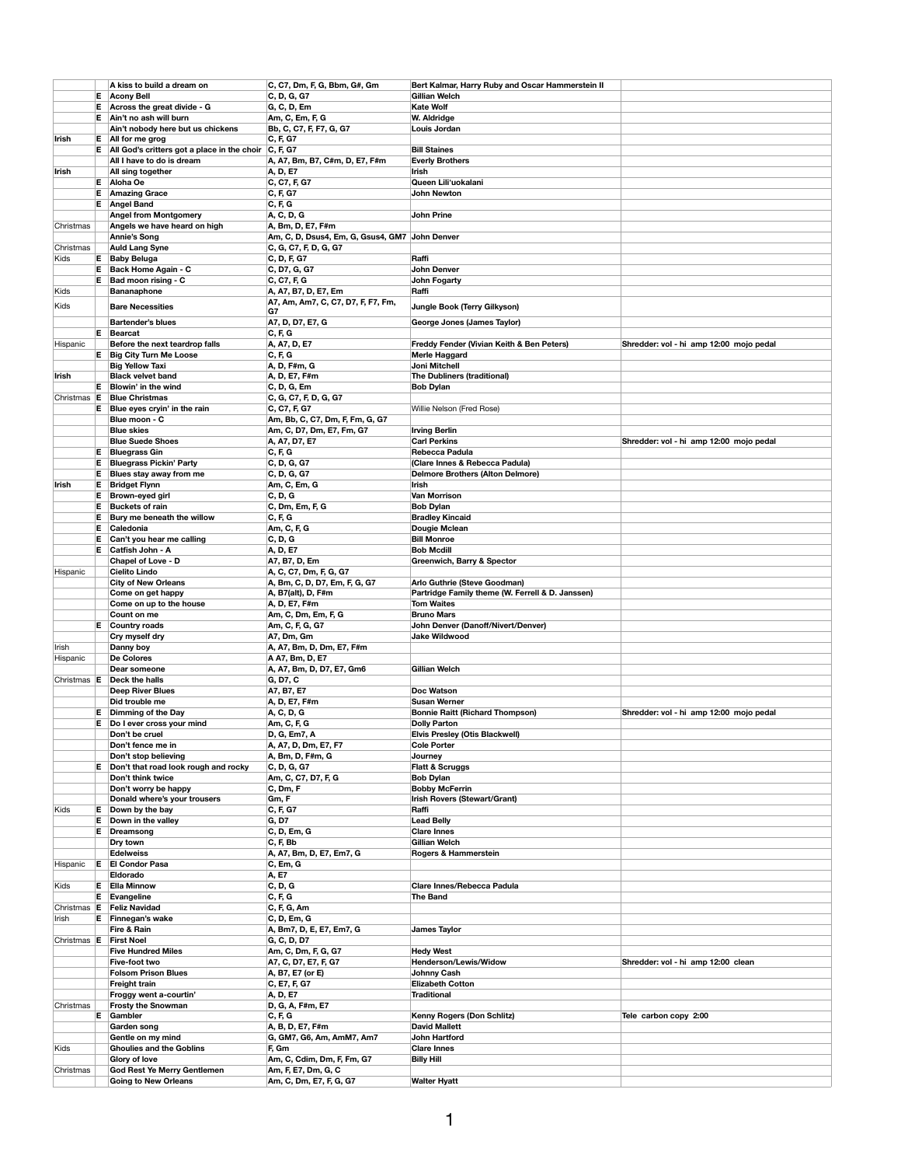|                 |    | A kiss to build a dream on                                         | C, C7, Dm, F, G, Bbm, G#, Gm                   | Bert Kalmar, Harry Ruby and Oscar Hammerstein II            |                                         |
|-----------------|----|--------------------------------------------------------------------|------------------------------------------------|-------------------------------------------------------------|-----------------------------------------|
|                 |    | $E$ Acony Bell                                                     | C, D, G, G7                                    | <b>Gillian Welch</b>                                        |                                         |
|                 |    | $E$ Across the great divide - G                                    | G, C, D, Em                                    | <b>Kate Wolf</b>                                            |                                         |
|                 |    | $E$ Ain't no ash will burn                                         | Am, C, Em, F, G                                | W. Aldridge                                                 |                                         |
|                 |    | Ain't nobody here but us chickens                                  | Bb, C, C7, F, F7, G, G7                        | Louis Jordan                                                |                                         |
| <b>Irish</b>    |    | $E$ All for me grog                                                | C, F, G7                                       |                                                             |                                         |
|                 |    | E   All God's critters got a place in the choir $ C, F, G7\rangle$ |                                                | <b>Bill Staines</b>                                         |                                         |
|                 |    | All I have to do is dream                                          | A, A7, Bm, B7, C#m, D, E7, F#m                 | <b>Everly Brothers</b>                                      |                                         |
| <b>Irish</b>    |    | All sing together                                                  | A, D, E7                                       | <b>Irish</b>                                                |                                         |
|                 |    | $E$ Aloha Oe                                                       | C, C7, F, G7                                   | Queen Lili'uokalani                                         |                                         |
|                 | E. | <b>Amazing Grace</b>                                               | C, F, G7                                       | <b>John Newton</b>                                          |                                         |
|                 |    | <b>E</b> Angel Band                                                | C, F, G                                        |                                                             |                                         |
|                 |    | <b>Angel from Montgomery</b>                                       | A, C, D, G                                     | <b>John Prine</b>                                           |                                         |
| Christmas       |    | Angels we have heard on high                                       | A, Bm, D, E7, F#m                              |                                                             |                                         |
|                 |    | <b>Annie's Song</b>                                                | Am, C, D, Dsus4, Em, G, Gsus4, GM7 John Denver |                                                             |                                         |
| Christmas       |    | <b>Auld Lang Syne</b>                                              | C, G, C7, F, D, G, G7                          |                                                             |                                         |
| Kids            | E. | <b>Baby Beluga</b>                                                 | C, D, F, G7                                    | Raffi                                                       |                                         |
|                 |    | $E$ Back Home Again - C                                            | C, D7, G, G7                                   | <b>John Denver</b>                                          |                                         |
|                 | E. | Bad moon rising - C                                                | C, C7, F, G                                    | <b>John Fogarty</b>                                         |                                         |
| Kids            |    | <b>Bananaphone</b>                                                 | A, A7, B7, D, E7, Em                           | Raffi                                                       |                                         |
| Kids            |    | <b>Bare Necessities</b>                                            | A7, Am, Am7, C, C7, D7, F, F7, Fm,             | <b>Jungle Book (Terry Gilkyson)</b>                         |                                         |
|                 |    |                                                                    | G7                                             |                                                             |                                         |
|                 |    | <b>Bartender's blues</b>                                           | A7, D, D7, E7, G                               | <b>George Jones (James Taylor)</b>                          |                                         |
|                 | E. | Bearcat                                                            | C, F, G                                        |                                                             |                                         |
| Hispanic        |    | Before the next teardrop falls                                     | A, A7, D, E7                                   | <b>Freddy Fender (Vivian Keith &amp; Ben Peters)</b>        | Shredder: vol - hi amp 12:00 mojo pedal |
|                 |    | <b>E</b> Big City Turn Me Loose                                    | C, F, G                                        | <b>Merle Haggard</b>                                        |                                         |
|                 |    | <b>Big Yellow Taxi</b>                                             | A, D, F#m, G                                   | <b>Joni Mitchell</b>                                        |                                         |
| <b>Irish</b>    |    | <b>Black velvet band</b><br>Blowin' in the wind                    | A, D, E7, F#m                                  | <b>The Dubliners (traditional)</b>                          |                                         |
| Christmas E     | E. |                                                                    | C, D, G, Em                                    | <b>Bob Dylan</b>                                            |                                         |
|                 | E. | <b>Blue Christmas</b><br>Blue eyes cryin' in the rain              | C, G, C7, F, D, G, G7<br>C, C7, F, G7          | Willie Nelson (Fred Rose)                                   |                                         |
|                 |    | Blue moon - C                                                      | Am, Bb, C, C7, Dm, F, Fm, G, G7                |                                                             |                                         |
|                 |    | <b>Blue skies</b>                                                  | Am, C, D7, Dm, E7, Fm, G7                      | <b>Irving Berlin</b>                                        |                                         |
|                 |    | <b>Blue Suede Shoes</b>                                            | A, A7, D7, E7                                  | <b>Carl Perkins</b>                                         | Shredder: vol - hi amp 12:00 mojo pedal |
|                 | E. | <b>Bluegrass Gin</b>                                               | C, F, G                                        | <b>Rebecca Padula</b>                                       |                                         |
|                 | Е. | <b>Bluegrass Pickin' Party</b>                                     | C, D, G, G7                                    | (Clare Innes & Rebecca Padula)                              |                                         |
|                 | E. | <b>Blues stay away from me</b>                                     | C, D, G, G7                                    | <b>Delmore Brothers (Alton Delmore)</b>                     |                                         |
| <b>Irish</b>    | E. | <b>Bridget Flynn</b>                                               | Am, C, Em, G                                   | <b>Irish</b>                                                |                                         |
|                 | Е. | <b>Brown-eyed girl</b>                                             | C, D, G                                        | <b>Van Morrison</b>                                         |                                         |
|                 | Е  | <b>Buckets of rain</b>                                             | C, Dm, Em, F, G                                | <b>Bob Dylan</b>                                            |                                         |
|                 | Е  | Bury me beneath the willow                                         | C, F, G                                        | <b>Bradley Kincaid</b>                                      |                                         |
|                 | Е. | Caledonia                                                          | Am, C, F, G                                    | <b>Dougie Mclean</b>                                        |                                         |
|                 | Е  | Can't you hear me calling                                          | C, D, G                                        | <b>Bill Monroe</b>                                          |                                         |
|                 | Е. | <b>Catfish John - A</b>                                            | A, D, E7                                       | <b>Bob Mcdill</b>                                           |                                         |
|                 |    | <b>Chapel of Love - D</b>                                          | A7, B7, D, Em                                  | <b>Greenwich, Barry &amp; Spector</b>                       |                                         |
| Hispanic        |    | <b>Cielito Lindo</b>                                               | A, C, C7, Dm, F, G, G7                         |                                                             |                                         |
|                 |    | <b>City of New Orleans</b>                                         | A, Bm, C, D, D7, Em, F, G, G7                  | Arlo Guthrie (Steve Goodman)                                |                                         |
|                 |    | Come on get happy                                                  | A, B7(alt), D, F#m                             | Partridge Family theme (W. Ferrell & D. Janssen)            |                                         |
|                 |    | Come on up to the house                                            | A, D, E7, F#m                                  | <b>Tom Waites</b>                                           |                                         |
|                 |    | Count on me                                                        | Am, C, Dm, Em, F, G                            | <b>Bruno Mars</b>                                           |                                         |
|                 |    | $E$ Country roads                                                  | Am, C, F, G, G7                                | <b>John Denver (Danoff/Nivert/Denver)</b>                   |                                         |
|                 |    | Cry myself dry                                                     | A7, Dm, Gm                                     | <b>Jake Wildwood</b>                                        |                                         |
| Irish           |    | Danny boy                                                          | A, A7, Bm, D, Dm, E7, F#m                      |                                                             |                                         |
| Hispanic        |    | <b>De Colores</b>                                                  | A A7, Bm, D, E7                                |                                                             |                                         |
|                 |    | Dear someone                                                       | A, A7, Bm, D, D7, E7, Gm6                      | <b>Gillian Welch</b>                                        |                                         |
| Christmas $ E $ |    | <b>Deck the halls</b>                                              | G, D7, C                                       |                                                             |                                         |
|                 |    | <b>Deep River Blues</b>                                            | A7, B7, E7                                     | <b>Doc Watson</b>                                           |                                         |
|                 |    | Did trouble me                                                     | A, D, E7, F#m                                  | <b>Susan Werner</b>                                         |                                         |
|                 | E. | <b>Dimming of the Day</b>                                          | A, C, D, G                                     | <b>Bonnie Raitt (Richard Thompson)</b>                      | Shredder: vol - hi amp 12:00 mojo pedal |
|                 | Е  | Do I ever cross your mind                                          | Am, C, F, G                                    | <b>Dolly Parton</b>                                         |                                         |
|                 |    | Don't be cruel                                                     | D, G, Em7, A                                   | <b>Elvis Presley (Otis Blackwell)</b><br><b>Cole Porter</b> |                                         |
|                 |    | Don't fence me in                                                  | A, A7, D, Dm, E7, F7                           |                                                             |                                         |
|                 |    | Don't stop believing                                               | A, Bm, D, F#m, G                               | Journey                                                     |                                         |
|                 |    | $E$ Don't that road look rough and rocky<br>Don't think twice      | C, D, G, G7<br>Am, C, C7, D7, F, G             | <b>Flatt &amp; Scruggs</b><br><b>Bob Dylan</b>              |                                         |
|                 |    | Don't worry be happy                                               | C, Dm, F                                       | <b>Bobby McFerrin</b>                                       |                                         |
|                 |    | Donald where's your trousers                                       | Gm, F                                          | <b>Irish Rovers (Stewart/Grant)</b>                         |                                         |
| Kids            |    | $E$ Down by the bay                                                | C, F, G7                                       | Raffi                                                       |                                         |
|                 |    | $E$ Down in the valley                                             | <b>G, D7</b>                                   | <b>Lead Belly</b>                                           |                                         |
|                 | E. | Dreamsong                                                          | C, D, Em, G                                    | <b>Clare Innes</b>                                          |                                         |
|                 |    | Dry town                                                           | C, F, Bb                                       | <b>Gillian Welch</b>                                        |                                         |
|                 |    | <b>Edelweiss</b>                                                   | A, A7, Bm, D, E7, Em7, G                       | <b>Rogers &amp; Hammerstein</b>                             |                                         |
| Hispanic        | E  | <b>El Condor Pasa</b>                                              | C, Em, G                                       |                                                             |                                         |
|                 |    | <b>Eldorado</b>                                                    | A, E7                                          |                                                             |                                         |
| Kids            |    | <b>E</b> Ella Minnow                                               | C, D, G                                        | <b>Clare Innes/Rebecca Padula</b>                           |                                         |
|                 |    | <b>E</b> Evangeline                                                | C, F, G                                        | <b>The Band</b>                                             |                                         |
| Christmas E     |    | <b>Feliz Navidad</b>                                               | C, F, G, Am                                    |                                                             |                                         |
| Irish           |    | $E$ Finnegan's wake                                                | C, D, Em, G                                    |                                                             |                                         |
|                 |    | <b>Fire &amp; Rain</b>                                             | A, Bm7, D, E, E7, Em7, G                       | <b>James Taylor</b>                                         |                                         |
| Christmas E     |    | <b>First Noel</b>                                                  | G, C, D, D7                                    |                                                             |                                         |
|                 |    | <b>Five Hundred Miles</b>                                          | Am, C, Dm, F, G, G7                            | <b>Hedy West</b>                                            |                                         |
|                 |    | Five-foot two                                                      | A7, C, D7, E7, F, G7                           | <b>Henderson/Lewis/Widow</b>                                | Shredder: vol - hi amp 12:00 clean      |
|                 |    | <b>Folsom Prison Blues</b>                                         | A, B7, E7 (or E)                               | <b>Johnny Cash</b>                                          |                                         |
|                 |    | <b>Freight train</b>                                               | C, E7, F, G7                                   | <b>Elizabeth Cotton</b>                                     |                                         |
|                 |    | Froggy went a-courtin'                                             | A, D, E7                                       | <b>Traditional</b>                                          |                                         |
| Christmas       |    | <b>Frosty the Snowman</b>                                          | D, G, A, F#m, E7                               |                                                             |                                         |
|                 | E. | Gambler                                                            | C, F, G                                        | <b>Kenny Rogers (Don Schlitz)</b>                           | Tele carbon copy 2:00                   |
|                 |    | Garden song                                                        | A, B, D, E7, F#m                               | <b>David Mallett</b>                                        |                                         |
|                 |    | Gentle on my mind                                                  | G, GM7, G6, Am, AmM7, Am7                      | <b>John Hartford</b>                                        |                                         |
| Kids            |    | <b>Ghoulies and the Goblins</b><br>Glory of love                   | F, Gm<br>Am, C, Cdim, Dm, F, Fm, G7            | <b>Clare Innes</b><br><b>Billy Hill</b>                     |                                         |
| Christmas       |    | <b>God Rest Ye Merry Gentlemen</b>                                 | Am, F, E7, Dm, G, C                            |                                                             |                                         |
|                 |    | <b>Going to New Orleans</b>                                        | Am, C, Dm, E7, F, G, G7                        | <b>Walter Hyatt</b>                                         |                                         |
|                 |    |                                                                    |                                                |                                                             |                                         |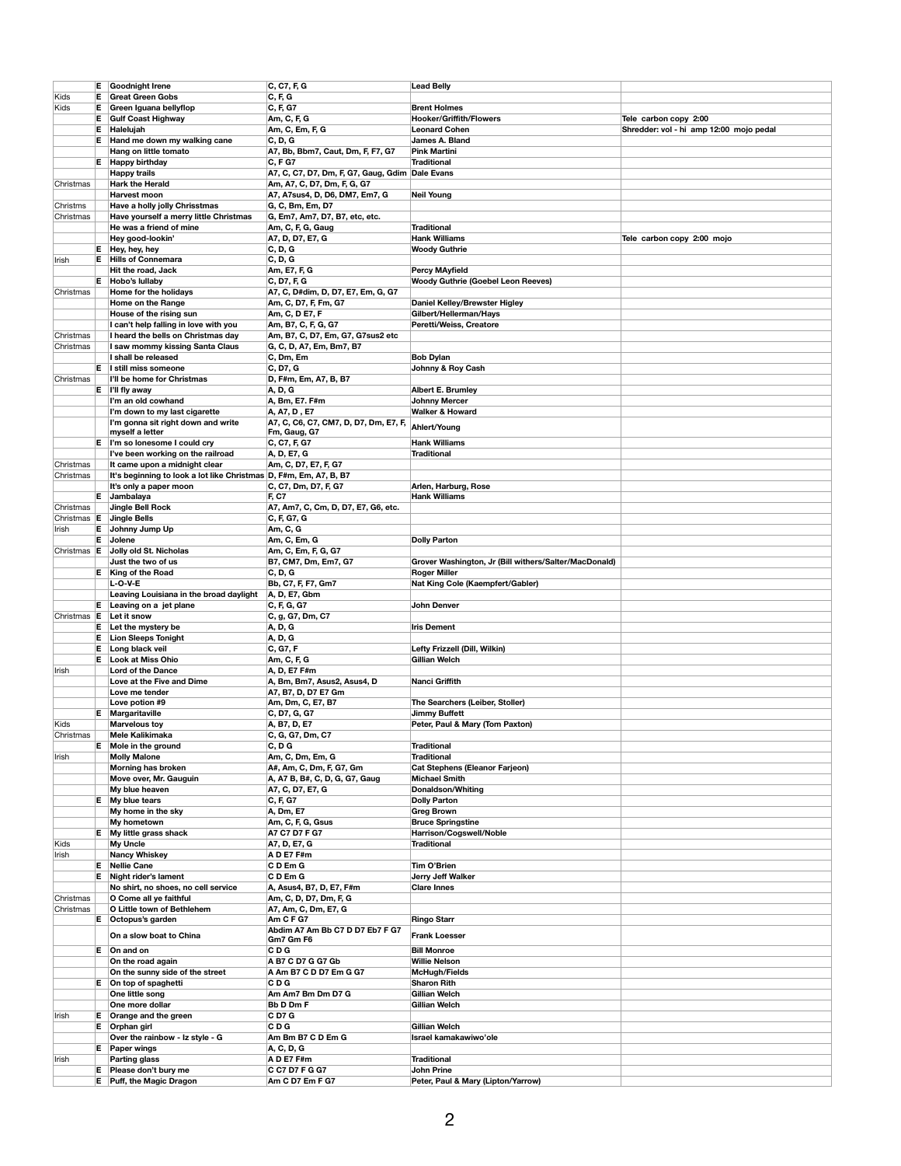|                        |    | <b>E</b> Goodnight Irene                                            | C, C7, F, G                                           | <b>Lead Belly</b>                                     |                                         |
|------------------------|----|---------------------------------------------------------------------|-------------------------------------------------------|-------------------------------------------------------|-----------------------------------------|
| Kids                   | Е. | <b>Great Green Gobs</b>                                             | C, F, G                                               |                                                       |                                         |
| Kids                   |    | $E$ Green Iguana bellyflop                                          | C, F, G7                                              | <b>Brent Holmes</b>                                   |                                         |
|                        | Е. | <b>Gulf Coast Highway</b>                                           | Am, C, F, G                                           | <b>Hooker/Griffith/Flowers</b>                        | Tele carbon copy 2:00                   |
|                        | Е. | Halelujah                                                           | Am, C, Em, F, G                                       | <b>Leonard Cohen</b>                                  | Shredder: vol - hi amp 12:00 mojo pedal |
|                        | Е. | Hand me down my walking cane                                        | C, D, G                                               | <b>James A. Bland</b>                                 |                                         |
|                        |    | Hang on little tomato                                               | A7, Bb, Bbm7, Caut, Dm, F, F7, G7                     | <b>Pink Martini</b>                                   |                                         |
|                        |    | <b>E</b> Happy birthday                                             | <b>C, F G7</b>                                        | <b>Traditional</b>                                    |                                         |
|                        |    | <b>Happy trails</b>                                                 | A7, C, C7, D7, Dm, F, G7, Gaug, Gdim Dale Evans       |                                                       |                                         |
| Christmas              |    | <b>Hark the Herald</b>                                              | Am, A7, C, D7, Dm, F, G, G7                           |                                                       |                                         |
|                        |    | <b>Harvest moon</b>                                                 | A7, A7sus4, D, D6, DM7, Em7, G                        | <b>Neil Young</b>                                     |                                         |
| Christms               |    | <b>Have a holly jolly Chrisstmas</b>                                | G, C, Bm, Em, D7                                      |                                                       |                                         |
| Christmas              |    | Have yourself a merry little Christmas                              | G, Em7, Am7, D7, B7, etc, etc.                        |                                                       |                                         |
|                        |    | He was a friend of mine                                             | Am, C, F, G, Gaug                                     | <b>Traditional</b>                                    |                                         |
|                        |    | Hey good-lookin'                                                    | A7, D, D7, E7, G                                      | <b>Hank Williams</b>                                  | Tele carbon copy 2:00 mojo              |
|                        |    | $E$ Hey, hey, hey                                                   | <b>C, D, G</b>                                        | <b>Woody Guthrie</b>                                  |                                         |
| Irish                  |    | <b>E</b> Hills of Connemara                                         | <b>C, D, G</b>                                        |                                                       |                                         |
|                        |    | Hit the road, Jack                                                  | Am, E7, F, G                                          | <b>Percy MAyfield</b>                                 |                                         |
|                        |    | $E$ Hobo's lullaby                                                  | C, D7, F, G                                           | <b>Woody Guthrie (Goebel Leon Reeves)</b>             |                                         |
| Christmas              |    | Home for the holidays                                               | A7, C, D#dim, D, D7, E7, Em, G, G7                    |                                                       |                                         |
|                        |    | <b>Home on the Range</b>                                            | Am, C, D7, F, Fm, G7                                  | <b>Daniel Kelley/Brewster Higley</b>                  |                                         |
|                        |    | House of the rising sun                                             | Am, C, D E7, F                                        | Gilbert/Hellerman/Hays                                |                                         |
|                        |    | I can't help falling in love with you                               | Am, B7, C, F, G, G7                                   | Peretti/Weiss, Creatore                               |                                         |
| Christmas              |    | I heard the bells on Christmas day                                  | Am, B7, C, D7, Em, G7, G7sus2 etc                     |                                                       |                                         |
| Christmas              |    | I saw mommy kissing Santa Claus                                     | G, C, D, A7, Em, Bm7, B7                              |                                                       |                                         |
|                        |    | I shall be released                                                 | C, Dm, Em                                             | <b>Bob Dylan</b>                                      |                                         |
|                        |    | E I still miss someone<br>I'll be home for Christmas                | C, D7, G                                              | <b>Johnny &amp; Roy Cash</b>                          |                                         |
| Christmas              |    |                                                                     | D, F#m, Em, A7, B, B7                                 |                                                       |                                         |
|                        |    | $E$  '   fly away                                                   | A, D, G                                               | <b>Albert E. Brumley</b>                              |                                         |
|                        |    | I'm an old cowhand                                                  | A, Bm, E7. F#m                                        | <b>Johnny Mercer</b>                                  |                                         |
|                        |    | I'm down to my last cigarette<br>I'm gonna sit right down and write | A, A7, D, E7                                          | <b>Walker &amp; Howard</b>                            |                                         |
|                        |    | myself a letter                                                     | A7, C, C6, C7, CM7, D, D7, Dm, E7, F,<br>Fm, Gaug, G7 | <b>Ahlert/Young</b>                                   |                                         |
|                        |    | $E$   I'm so lonesome I could cry                                   | C, C7, F, G7                                          | <b>Hank Williams</b>                                  |                                         |
|                        |    | I've been working on the railroad                                   | A, D, E7, G                                           | <b>Traditional</b>                                    |                                         |
| Christmas              |    | It came upon a midnight clear                                       | Am, C, D7, E7, F, G7                                  |                                                       |                                         |
| Christmas              |    | It's beginning to look a lot like Christmas D, F#m, Em, A7, B, B7   |                                                       |                                                       |                                         |
|                        |    | It's only a paper moon                                              | C, C7, Dm, D7, F, G7                                  | Arlen, Harburg, Rose                                  |                                         |
|                        |    | E Jambalaya                                                         | <b>F, C7</b>                                          | <b>Hank Williams</b>                                  |                                         |
| Christmas              |    | <b>Jingle Bell Rock</b>                                             | A7, Am7, C, Cm, D, D7, E7, G6, etc.                   |                                                       |                                         |
| Christmas $ E $        |    | Jingle Bells                                                        | C, F, G7, G                                           |                                                       |                                         |
| ∣lrish                 |    | $E$ Johnny Jump Up                                                  | Am, C, G                                              |                                                       |                                         |
|                        |    | E Jolene                                                            | Am, C, Em, G                                          | <b>Dolly Parton</b>                                   |                                         |
| Christmas E            |    | Jolly old St. Nicholas                                              | Am, C, Em, F, G, G7                                   |                                                       |                                         |
|                        |    | Just the two of us                                                  | B7, CM7, Dm, Em7, G7                                  | Grover Washington, Jr (Bill withers/Salter/MacDonald) |                                         |
|                        |    | <b>E</b> King of the Road                                           | <b>C, D, G</b>                                        | <b>Roger Miller</b>                                   |                                         |
|                        |    | $L-O-V-E$                                                           | Bb, C7, F, F7, Gm7                                    | Nat King Cole (Kaempfert/Gabler)                      |                                         |
|                        |    | Leaving Louisiana in the broad daylight                             | A, D, E7, Gbm                                         |                                                       |                                         |
|                        |    | $E$ Leaving on a jet plane                                          | C, F, G, G7                                           | <b>John Denver</b>                                    |                                         |
| Christmas   E          |    | Let it snow                                                         | C, g, G7, Dm, C7                                      |                                                       |                                         |
|                        | Е. | Let the mystery be                                                  | A, D, G                                               | <b>Iris Dement</b>                                    |                                         |
|                        | Е. | <b>Lion Sleeps Tonight</b>                                          | A, D, G                                               |                                                       |                                         |
|                        |    | Long black veil                                                     | C, G7, F                                              | <b>Lefty Frizzell (Dill, Wilkin)</b>                  |                                         |
|                        |    | <b>E</b> Look at Miss Ohio                                          | Am, C, F, G                                           | <b>Gillian Welch</b>                                  |                                         |
| <b>Irish</b>           |    | <b>Lord of the Dance</b>                                            | A, D, E7 F#m                                          |                                                       |                                         |
|                        |    | Love at the Five and Dime                                           | A, Bm, Bm7, Asus2, Asus4, D                           | <b>Nanci Griffith</b>                                 |                                         |
|                        |    | Love me tender                                                      | A7, B7, D, D7 E7 Gm                                   |                                                       |                                         |
|                        |    | Love potion #9                                                      | Am, Dm, C, E7, B7                                     | The Searchers (Leiber, Stoller)                       |                                         |
|                        |    | <b>E</b> Margaritaville                                             | C, D7, G, G7                                          | <b>Jimmy Buffett</b>                                  |                                         |
| Kids                   |    | <b>Marvelous toy</b>                                                | A, B7, D, E7                                          | Peter, Paul & Mary (Tom Paxton)                       |                                         |
| Christmas              |    | <b>Mele Kalikimaka</b>                                              | C, G, G7, Dm, C7                                      |                                                       |                                         |
|                        |    | E Mole in the ground                                                | C, D G                                                | <b>Traditional</b>                                    |                                         |
| Irish                  |    | <b>Molly Malone</b>                                                 | Am, C, Dm, Em, G                                      | <b>Traditional</b>                                    |                                         |
|                        |    | <b>Morning has broken</b>                                           | A#, Am, C, Dm, F, G7, Gm                              | <b>Cat Stephens (Eleanor Farjeon)</b>                 |                                         |
|                        |    | Move over, Mr. Gauguin                                              | A, A7 B, B#, C, D, G, G7, Gaug                        | <b>Michael Smith</b>                                  |                                         |
|                        |    | My blue heaven                                                      | A7, C, D7, E7, G                                      | <b>Donaldson/Whiting</b>                              |                                         |
|                        |    | $E$ My blue tears                                                   | C, F, G7                                              | <b>Dolly Parton</b>                                   |                                         |
|                        |    | My home in the sky                                                  | A, Dm, E7                                             | <b>Greg Brown</b>                                     |                                         |
|                        |    | My hometown                                                         | Am, C, F, G, Gsus                                     | <b>Bruce Springstine</b>                              |                                         |
|                        |    | E My little grass shack                                             | A7 C7 D7 F G7                                         | <b>Harrison/Cogswell/Noble</b>                        |                                         |
| Kids                   |    | <b>My Uncle</b>                                                     | A7, D, E7, G                                          | <b>Traditional</b>                                    |                                         |
| Irish                  |    | <b>Nancy Whiskey</b>                                                | AD E7 F#m                                             |                                                       |                                         |
|                        |    | <b>E</b> Nellie Cane                                                | CD Em G                                               | <b>Tim O'Brien</b>                                    |                                         |
|                        |    | $E$ Night rider's lament                                            | CD Em G                                               | <b>Jerry Jeff Walker</b><br><b>Clare Innes</b>        |                                         |
|                        |    | No shirt, no shoes, no cell service                                 | A, Asus4, B7, D, E7, F#m                              |                                                       |                                         |
| Christmas<br>Christmas |    | O Come all ye faithful<br>O Little town of Bethlehem                | Am, C, D, D7, Dm, F, G<br>A7, Am, C, Dm, E7, G        |                                                       |                                         |
|                        |    | $E$ Octopus's garden                                                | Am C F G7                                             | <b>Ringo Starr</b>                                    |                                         |
|                        |    |                                                                     | Abdim A7 Am Bb C7 D D7 Eb7 F G7                       |                                                       |                                         |
|                        |    | On a slow boat to China                                             | Gm7 Gm F6                                             | <b>Frank Loesser</b>                                  |                                         |
|                        |    | $E$ On and on                                                       | C D G                                                 | <b>Bill Monroe</b>                                    |                                         |
|                        |    | On the road again                                                   | A B7 C D7 G G7 Gb                                     | <b>Willie Nelson</b>                                  |                                         |
|                        |    | On the sunny side of the street                                     | A Am B7 C D D7 Em G G7                                | McHugh/Fields                                         |                                         |
|                        |    | $E$ On top of spaghetti                                             | C D G                                                 | <b>Sharon Rith</b>                                    |                                         |
|                        |    | One little song                                                     | Am Am7 Bm Dm D7 G                                     | <b>Gillian Welch</b>                                  |                                         |
|                        |    | One more dollar                                                     | <b>Bb D Dm F</b>                                      | <b>Gillian Welch</b>                                  |                                         |
| Irish                  |    | $E$ Orange and the green                                            | <b>CD7G</b>                                           |                                                       |                                         |
|                        |    | $E$ Orphan girl                                                     | C D G                                                 | <b>Gillian Welch</b>                                  |                                         |
|                        |    | Over the rainbow - Iz style - G                                     | Am Bm B7 C D Em G                                     | Israel kamakawiwo'ole                                 |                                         |
|                        |    | <b>E</b> Paper wings                                                | A, C, D, G                                            |                                                       |                                         |
| Irish                  |    | <b>Parting glass</b>                                                | A D E7 F#m                                            | <b>Traditional</b>                                    |                                         |
|                        |    | E Please don't bury me                                              | C C7 D7 F G G7                                        | <b>John Prine</b>                                     |                                         |
|                        |    | E Puff, the Magic Dragon                                            | Am C D7 Em F G7                                       | Peter, Paul & Mary (Lipton/Yarrow)                    |                                         |